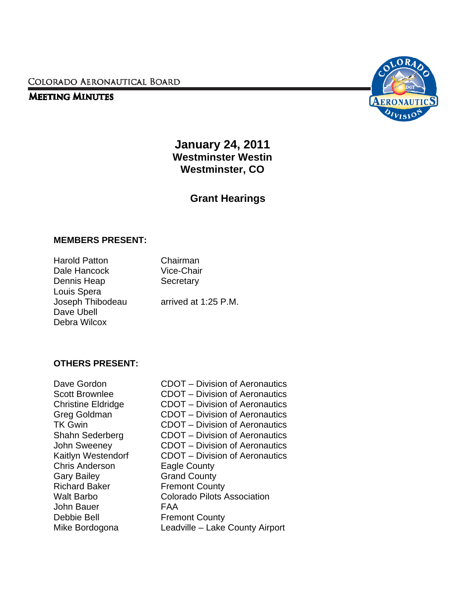COLORADO AERONAUTICAL BOARD

### **MEETING MINUTES**



**January 24, 2011 Westminster Westin Westminster, CO** 

# **Grant Hearings**

#### **MEMBERS PRESENT:**

Harold Patton Chairman Dale Hancock Vice-Chair Dennis Heap Secretary Louis Spera Dave Ubell Debra Wilcox

Joseph Thibodeau arrived at 1:25 P.M.

### **OTHERS PRESENT:**

Chris Anderson Eagle County Gary Bailey **Grand County** Richard Baker Fremont County John Bauer FAA Debbie Bell Fremont County

Dave Gordon **CDOT** – Division of Aeronautics Scott Brownlee CDOT – Division of Aeronautics<br>Christine Eldridge CDOT – Division of Aeronautics CDOT – Division of Aeronautics Greg Goldman CDOT – Division of Aeronautics TK Gwin CDOT – Division of Aeronautics Shahn Sederberg CDOT – Division of Aeronautics John Sweeney CDOT – Division of Aeronautics Kaitlyn Westendorf CDOT – Division of Aeronautics Walt Barbo Colorado Pilots Association Mike Bordogona Leadville – Lake County Airport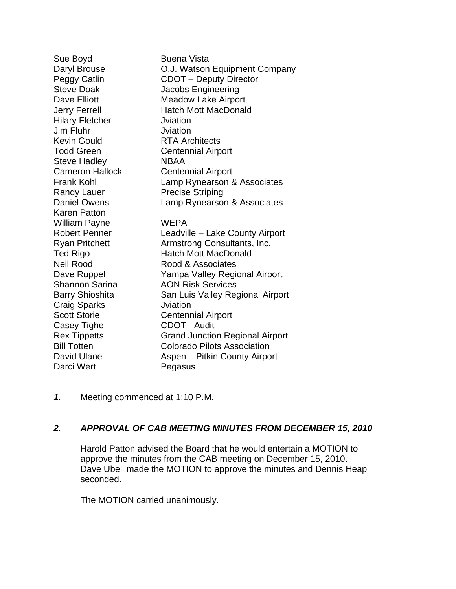Sue Boyd **Buena Vista** Daryl Brouse O.J. Watson Equipment Company Peggy Catlin CDOT – Deputy Director Steve Doak Jacobs Engineering Dave Elliott Meadow Lake Airport Jerry Ferrell **Hatch Mott MacDonald** Hilary Fletcher **Julians** Juliation Jim Fluhr Jviation Kevin Gould **RTA Architects** Todd Green **Centennial Airport** Steve Hadley NBAA Cameron Hallock Centennial Airport Frank Kohl Lamp Rynearson & Associates Randy Lauer Precise Striping Daniel Owens Lamp Rynearson & Associates Karen Patton William Payne WEPA Robert Penner Leadville – Lake County Airport Ryan Pritchett Armstrong Consultants, Inc. Ted Rigo **Hatch Mott MacDonald** Neil Rood **Net Rood & Associates** Dave Ruppel Yampa Valley Regional Airport Shannon Sarina **AON Risk Services** Barry Shioshita **San Luis Valley Regional Airport** Craig Sparks Jviation Scott Storie **Centennial Airport** Casey Tighe CDOT - Audit Rex Tippetts Grand Junction Regional Airport Bill Totten Colorado Pilots Association David Ulane **Aspen** – Pitkin County Airport Darci Wert Pegasus

*1.* Meeting commenced at 1:10 P.M.

## *2. APPROVAL OF CAB MEETING MINUTES FROM DECEMBER 15, 2010*

Harold Patton advised the Board that he would entertain a MOTION to approve the minutes from the CAB meeting on December 15, 2010. Dave Ubell made the MOTION to approve the minutes and Dennis Heap seconded.

The MOTION carried unanimously.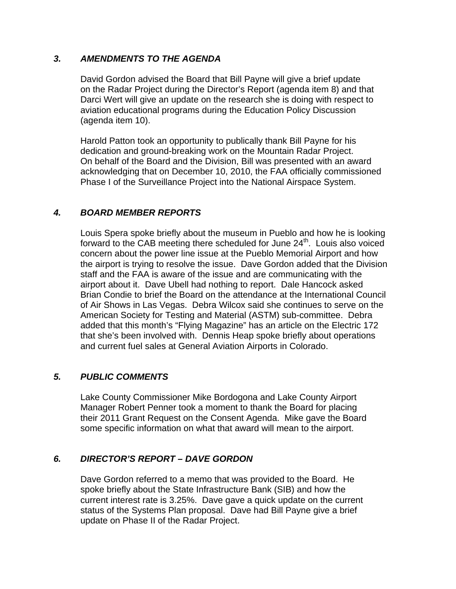## *3. AMENDMENTS TO THE AGENDA*

David Gordon advised the Board that Bill Payne will give a brief update on the Radar Project during the Director's Report (agenda item 8) and that Darci Wert will give an update on the research she is doing with respect to aviation educational programs during the Education Policy Discussion (agenda item 10).

 Harold Patton took an opportunity to publically thank Bill Payne for his dedication and ground-breaking work on the Mountain Radar Project. On behalf of the Board and the Division, Bill was presented with an award acknowledging that on December 10, 2010, the FAA officially commissioned Phase I of the Surveillance Project into the National Airspace System.

### *4. BOARD MEMBER REPORTS*

Louis Spera spoke briefly about the museum in Pueblo and how he is looking forward to the CAB meeting there scheduled for June 24<sup>th</sup>. Louis also voiced concern about the power line issue at the Pueblo Memorial Airport and how the airport is trying to resolve the issue. Dave Gordon added that the Division staff and the FAA is aware of the issue and are communicating with the airport about it. Dave Ubell had nothing to report. Dale Hancock asked Brian Condie to brief the Board on the attendance at the International Council of Air Shows in Las Vegas. Debra Wilcox said she continues to serve on the American Society for Testing and Material (ASTM) sub-committee. Debra added that this month's "Flying Magazine" has an article on the Electric 172 that she's been involved with. Dennis Heap spoke briefly about operations and current fuel sales at General Aviation Airports in Colorado.

### *5. PUBLIC COMMENTS*

Lake County Commissioner Mike Bordogona and Lake County Airport Manager Robert Penner took a moment to thank the Board for placing their 2011 Grant Request on the Consent Agenda. Mike gave the Board some specific information on what that award will mean to the airport.

## *6. DIRECTOR'S REPORT – DAVE GORDON*

Dave Gordon referred to a memo that was provided to the Board. He spoke briefly about the State Infrastructure Bank (SIB) and how the current interest rate is 3.25%. Dave gave a quick update on the current status of the Systems Plan proposal. Dave had Bill Payne give a brief update on Phase II of the Radar Project.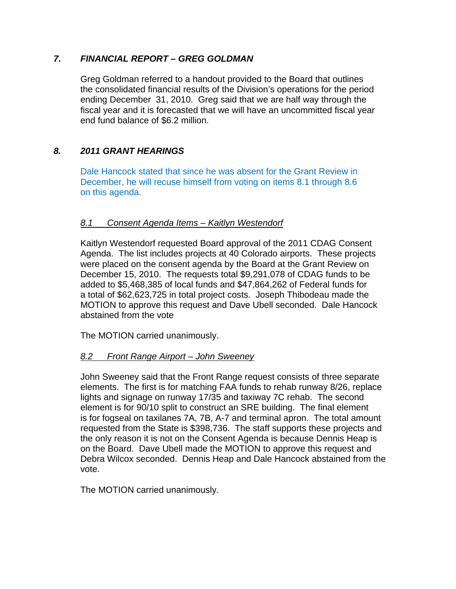### *7. FINANCIAL REPORT – GREG GOLDMAN*

Greg Goldman referred to a handout provided to the Board that outlines the consolidated financial results of the Division's operations for the period ending December 31, 2010. Greg said that we are half way through the fiscal year and it is forecasted that we will have an uncommitted fiscal year end fund balance of \$6.2 million.

### *8. 2011 GRANT HEARINGS*

Dale Hancock stated that since he was absent for the Grant Review in December, he will recuse himself from voting on items 8.1 through 8.6 on this agenda.

### *8.1 Consent Agenda Items – Kaitlyn Westendorf*

 Kaitlyn Westendorf requested Board approval of the 2011 CDAG Consent Agenda. The list includes projects at 40 Colorado airports. These projects were placed on the consent agenda by the Board at the Grant Review on December 15, 2010. The requests total \$9,291,078 of CDAG funds to be added to \$5,468,385 of local funds and \$47,864,262 of Federal funds for a total of \$62,623,725 in total project costs. Joseph Thibodeau made the MOTION to approve this request and Dave Ubell seconded. Dale Hancock abstained from the vote

The MOTION carried unanimously.

### *8.2 Front Range Airport – John Sweeney*

John Sweeney said that the Front Range request consists of three separate elements. The first is for matching FAA funds to rehab runway 8/26, replace lights and signage on runway 17/35 and taxiway 7C rehab. The second element is for 90/10 split to construct an SRE building. The final element is for fogseal on taxilanes 7A, 7B, A-7 and terminal apron. The total amount requested from the State is \$398,736. The staff supports these projects and the only reason it is not on the Consent Agenda is because Dennis Heap is on the Board. Dave Ubell made the MOTION to approve this request and Debra Wilcox seconded. Dennis Heap and Dale Hancock abstained from the vote.

The MOTION carried unanimously.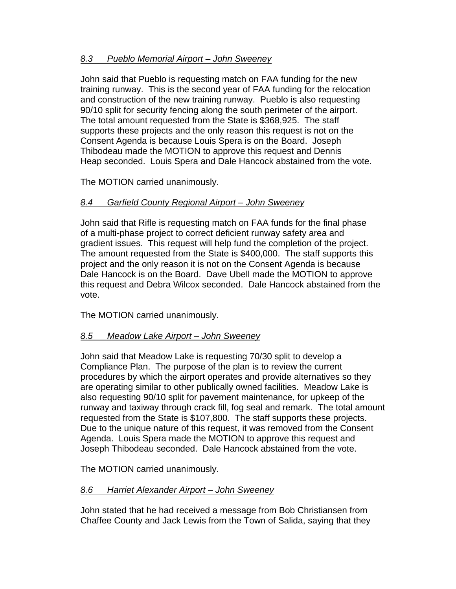## *8.3 Pueblo Memorial Airport – John Sweeney*

 John said that Pueblo is requesting match on FAA funding for the new training runway. This is the second year of FAA funding for the relocation and construction of the new training runway. Pueblo is also requesting 90/10 split for security fencing along the south perimeter of the airport. The total amount requested from the State is \$368,925. The staff supports these projects and the only reason this request is not on the Consent Agenda is because Louis Spera is on the Board. Joseph Thibodeau made the MOTION to approve this request and Dennis Heap seconded. Louis Spera and Dale Hancock abstained from the vote.

The MOTION carried unanimously.

## *8.4 Garfield County Regional Airport – John Sweeney*

 John said that Rifle is requesting match on FAA funds for the final phase of a multi-phase project to correct deficient runway safety area and gradient issues. This request will help fund the completion of the project. The amount requested from the State is \$400,000. The staff supports this project and the only reason it is not on the Consent Agenda is because Dale Hancock is on the Board. Dave Ubell made the MOTION to approve this request and Debra Wilcox seconded. Dale Hancock abstained from the vote.

The MOTION carried unanimously.

### *8.5 Meadow Lake Airport – John Sweeney*

 John said that Meadow Lake is requesting 70/30 split to develop a Compliance Plan. The purpose of the plan is to review the current procedures by which the airport operates and provide alternatives so they are operating similar to other publically owned facilities. Meadow Lake is also requesting 90/10 split for pavement maintenance, for upkeep of the runway and taxiway through crack fill, fog seal and remark. The total amount requested from the State is \$107,800. The staff supports these projects. Due to the unique nature of this request, it was removed from the Consent Agenda. Louis Spera made the MOTION to approve this request and Joseph Thibodeau seconded. Dale Hancock abstained from the vote.

The MOTION carried unanimously.

## *8.6 Harriet Alexander Airport – John Sweeney*

John stated that he had received a message from Bob Christiansen from Chaffee County and Jack Lewis from the Town of Salida, saying that they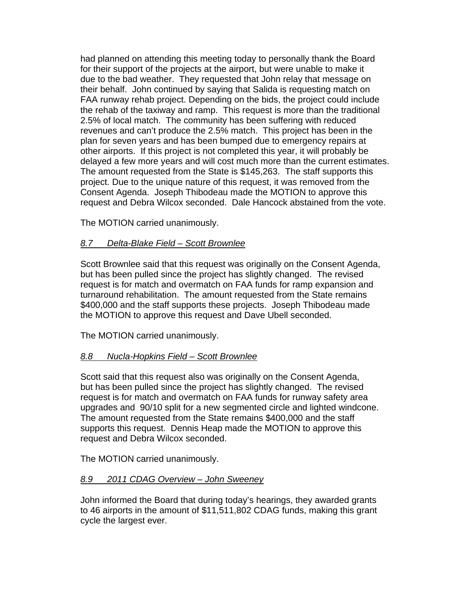had planned on attending this meeting today to personally thank the Board for their support of the projects at the airport, but were unable to make it due to the bad weather. They requested that John relay that message on their behalf. John continued by saying that Salida is requesting match on FAA runway rehab project. Depending on the bids, the project could include the rehab of the taxiway and ramp. This request is more than the traditional 2.5% of local match. The community has been suffering with reduced revenues and can't produce the 2.5% match. This project has been in the plan for seven years and has been bumped due to emergency repairs at other airports. If this project is not completed this year, it will probably be delayed a few more years and will cost much more than the current estimates. The amount requested from the State is \$145,263. The staff supports this project. Due to the unique nature of this request, it was removed from the Consent Agenda. Joseph Thibodeau made the MOTION to approve this request and Debra Wilcox seconded. Dale Hancock abstained from the vote.

The MOTION carried unanimously.

### *8.7 Delta-Blake Field – Scott Brownlee*

 Scott Brownlee said that this request was originally on the Consent Agenda, but has been pulled since the project has slightly changed. The revised request is for match and overmatch on FAA funds for ramp expansion and turnaround rehabilitation. The amount requested from the State remains \$400,000 and the staff supports these projects. Joseph Thibodeau made the MOTION to approve this request and Dave Ubell seconded.

The MOTION carried unanimously.

## *8.8 Nucla-Hopkins Field – Scott Brownlee*

 Scott said that this request also was originally on the Consent Agenda, but has been pulled since the project has slightly changed. The revised request is for match and overmatch on FAA funds for runway safety area upgrades and 90/10 split for a new segmented circle and lighted windcone. The amount requested from the State remains \$400,000 and the staff supports this request. Dennis Heap made the MOTION to approve this request and Debra Wilcox seconded.

The MOTION carried unanimously.

## *8.9 2011 CDAG Overview – John Sweeney*

 John informed the Board that during today's hearings, they awarded grants to 46 airports in the amount of \$11,511,802 CDAG funds, making this grant cycle the largest ever.